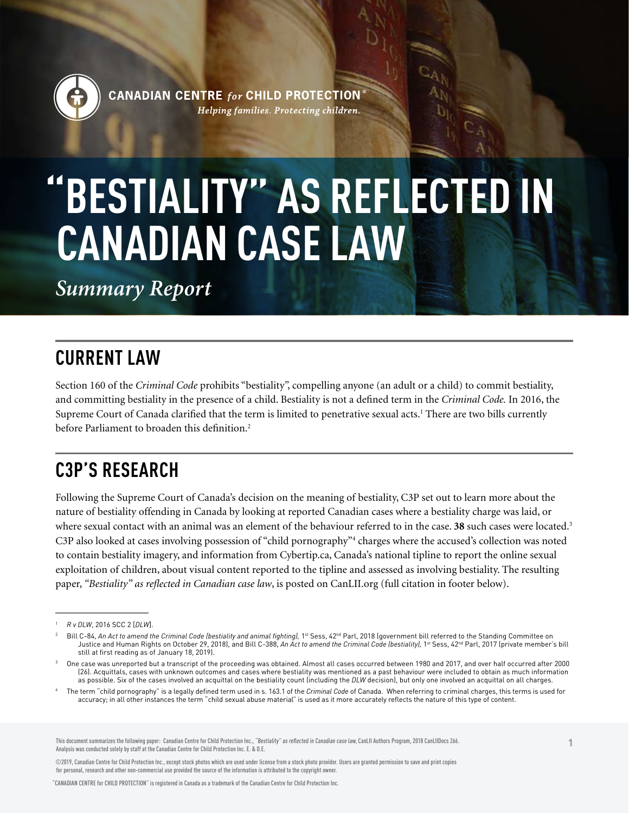

**CANADIAN CENTRE for CHILD PROTECTION** Helping families. Protecting children.

# **"BESTIALITY" AS REFLECTED IN CANADIAN CASE LAW**

*Summary Report*

## **CURRENT LAW**

Section 160 of the *Criminal Code* prohibits "bestiality", compelling anyone (an adult or a child) to commit bestiality, and committing bestiality in the presence of a child. Bestiality is not a defined term in the *Criminal Code.* In 2016, the Supreme Court of Canada clarified that the term is limited to penetrative sexual acts.<sup>1</sup> There are two bills currently before Parliament to broaden this definition.<sup>2</sup>

## **C3P'S RESEARCH**

Following the Supreme Court of Canada's decision on the meaning of bestiality, C3P set out to learn more about the nature of bestiality offending in Canada by looking at reported Canadian cases where a bestiality charge was laid, or where sexual contact with an animal was an element of the behaviour referred to in the case. **38** such cases were located.<sup>3</sup> C3P also looked at cases involving possession of "child pornography"<sup>4</sup> charges where the accused's collection was noted to contain bestiality imagery, and information from Cybertip.ca, Canada's national tipline to report the online sexual exploitation of children, about visual content reported to the tipline and assessed as involving bestiality. The resulting paper, *"Bestiality" as reflected in Canadian case law*, is posted on CanLII.org (full citation in footer below).

This document summarizes the following paper: Canadian Centre for Child Protection Inc., "Bestiality" as reflected in Canadian case law, CanLII Authors Program, 2018 CanLIIDocs 266. Analysis was conducted solely by staff at the Canadian Centre for Child Protection Inc. F & O.F.

©2019, Canadian Centre for Child Protection Inc., except stock photos which are used under license from a stock photo provider. Users are granted permission to save and print copies for personal, research and other non-commercial use provided the source of the information is attributed to the copyright owner.

"CANADIAN CENTRE for CHILD PROTECTION" is registered in Canada as a trademark of the Canadian Centre for Child Protection Inc.

<sup>1</sup> *R v DLW*, 2016 SCC 2 [*DLW*].

Bill C-84, An Act to amend the Criminal Code (bestiality and animal fighting), 1st Sess, 42<sup>nd</sup> Parl, 2018 (government bill referred to the Standing Committee on Justice and Human Rights on October 29, 2018), and Bill C-388, An Act to amend the Criminal Code (bestiality), 1st Sess, 42<sup>nd</sup> Parl, 2017 (private member's bill still at first reading as of January 18, 2019).

One case was unreported but a transcript of the proceeding was obtained. Almost all cases occurred between 1980 and 2017, and over half occurred after 2000 (26). Acquittals, cases with unknown outcomes and cases where bestiality was mentioned as a past behaviour were included to obtain as much information as possible. Six of the cases involved an acquittal on the bestiality count (including the *DLW* decision), but only one involved an acquittal on all charges.

<sup>4</sup> The term "child pornography" is a legally defined term used in s. 163.1 of the *Criminal Code* of Canada. When referring to criminal charges, this terms is used for accuracy; in all other instances the term "child sexual abuse material" is used as it more accurately reflects the nature of this type of content.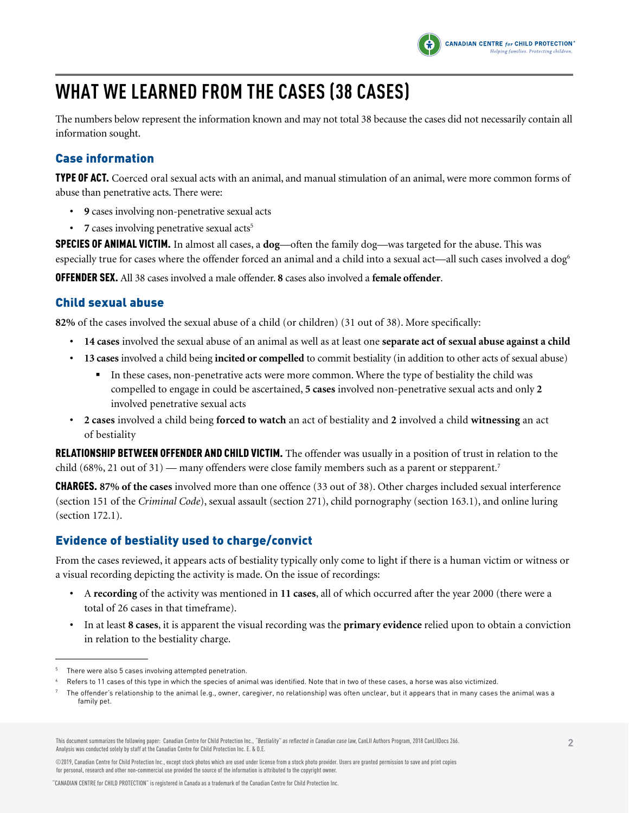

## **WHAT WE LEARNED FROM THE CASES (38 CASES)**

The numbers below represent the information known and may not total 38 because the cases did not necessarily contain all information sought.

#### Case information

TYPE OF ACT. Coerced oral sexual acts with an animal, and manual stimulation of an animal, were more common forms of abuse than penetrative acts. There were:

- **• 9** cases involving non-penetrative sexual acts
- **7** cases involving penetrative sexual acts<sup>5</sup>

SPECIES OF ANIMAL VICTIM. In almost all cases, a **dog**—often the family dog—was targeted for the abuse. This was especially true for cases where the offender forced an animal and a child into a sexual act—all such cases involved a dog<sup>6</sup>

OFFENDER SEX. All 38 cases involved a male offender. **8** cases also involved a **female offender**.

#### Child sexual abuse

**82%** of the cases involved the sexual abuse of a child (or children) (31 out of 38). More specifically:

- **• 14 cases** involved the sexual abuse of an animal as well as at least one **separate act of sexual abuse against a child**
- **• 13 cases** involved a child being **incited or compelled** to commit bestiality (in addition to other acts of sexual abuse)
	- § In these cases, non-penetrative acts were more common. Where the type of bestiality the child was compelled to engage in could be ascertained, **5 cases** involved non-penetrative sexual acts and only **2** involved penetrative sexual acts
- **• 2 cases** involved a child being **forced to watch** an act of bestiality and **2** involved a child **witnessing** an act of bestiality

RELATIONSHIP BETWEEN OFFENDER AND CHILD VICTIM. The offender was usually in a position of trust in relation to the child (68%, 21 out of 31) — many offenders were close family members such as a parent or stepparent.<sup>7</sup>

CHARGES. **87% of the cases** involved more than one offence (33 out of 38). Other charges included sexual interference (section 151 of the *Criminal Code*), sexual assault (section 271), child pornography (section 163.1), and online luring (section 172.1).

#### Evidence of bestiality used to charge/convict

From the cases reviewed, it appears acts of bestiality typically only come to light if there is a human victim or witness or a visual recording depicting the activity is made. On the issue of recordings:

- **•** A **recording** of the activity was mentioned in **11 cases**, all of which occurred after the year 2000 (there were a total of 26 cases in that timeframe).
- **•** In at least **8 cases**, it is apparent the visual recording was the **primary evidence** relied upon to obtain a conviction in relation to the bestiality charge.

<sup>5</sup> There were also 5 cases involving attempted penetration.

<sup>6</sup> Refers to 11 cases of this type in which the species of animal was identified. Note that in two of these cases, a horse was also victimized.

<sup>7</sup> The offender's relationship to the animal (e.g., owner, caregiver, no relationship) was often unclear, but it appears that in many cases the animal was a family pet.

This document summarizes the following paper: Canadian Centre for Child Protection Inc., "Bestiality" as reflected in Canadian case law, CanLII Authors Program, 2018 CanLIIDocs 266. Analysis was conducted solely by staff at the Canadian Centre for Child Protection Inc. E. & O.E.

<sup>©2019,</sup> Canadian Centre for Child Protection Inc., except stock photos which are used under license from a stock photo provider. Users are granted permission to save and print copies for personal, research and other non-commercial use provided the source of the information is attributed to the copyright owner.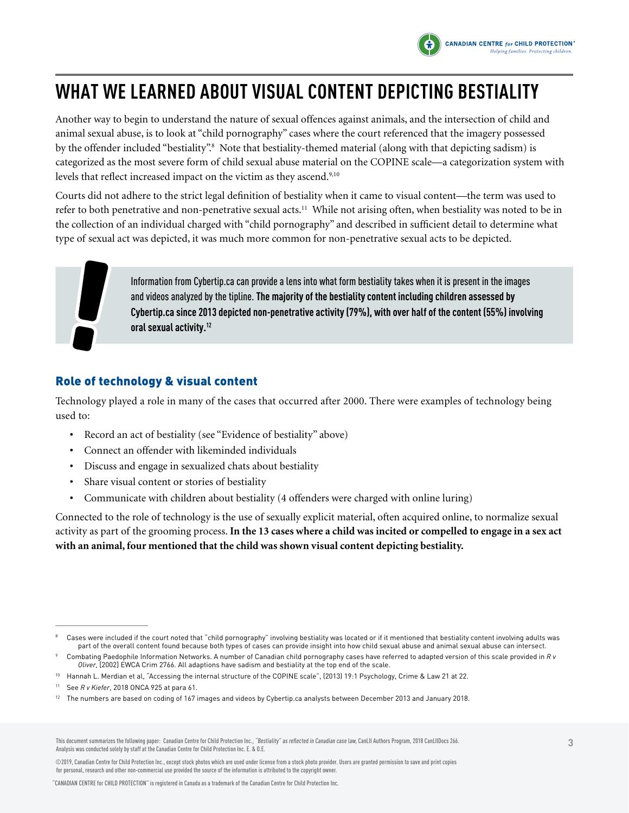

## **WHAT WE LEARNED ABOUT VISUAL CONTENT DEPICTING BESTIALITY**

Another way to begin to understand the nature of sexual offences against animals, and the intersection of child and animal sexual abuse, is to look at "child pornography" cases where the court referenced that the imagery possessed by the offender included "bestiality".<sup>8</sup> Note that bestiality-themed material (along with that depicting sadism) is categorized as the most severe form of child sexual abuse material on the COPINE scale—a categorization system with levels that reflect increased impact on the victim as they ascend.<sup>9,10</sup>

Courts did not adhere to the strict legal definition of bestiality when it came to visual content—the term was used to refer to both penetrative and non-penetrative sexual acts.<sup>11</sup> While not arising often, when bestiality was noted to be in the collection of an individual charged with "child pornography" and described in sufficient detail to determine what type of sexual act was depicted, it was much more common for non-penetrative sexual acts to be depicted.

Information from Cybertip.ca can provide a lens into what form bestiality takes when it is present in the images and videos analyzed by the tipline. **The majority of the bestiality content including children assessed by Cybertip.ca since 2013 depicted non-penetrative activity (79%), with over half of the content (55%) involving oral sexual activity.12**

### Role of technology & visual content

Technology played a role in many of the cases that occurred after 2000. There were examples of technology being used to:

- **•** Record an act of bestiality (see "Evidence of bestiality" above)
- **•** Connect an offender with likeminded individuals
- **•** Discuss and engage in sexualized chats about bestiality
- **•** Share visual content or stories of bestiality
- **•** Communicate with children about bestiality (4 offenders were charged with online luring)

Connected to the role of technology is the use of sexually explicit material, often acquired online, to normalize sexual activity as part of the grooming process. **In the 13 cases where a child was incited or compelled to engage in a sex act with an animal, four mentioned that the child was shown visual content depicting bestiality.** 

This document summarizes the following paper: Canadian Centre for Child Protection Inc., "Bestiality" as reflected in Canadian case law, CanLII Authors Program, 2018 CanLIIDocs 266. Analysis was conducted solely by staff at the Canadian Centre for Child Protection Inc. E. & O.E.

©2019, Canadian Centre for Child Protection Inc., except stock photos which are used under license from a stock photo provider. Users are granted permission to save and print copies for personal, research and other non-commercial use provided the source of the information is attributed to the copyright owner.

<sup>8</sup> Cases were included if the court noted that "child pornography" involving bestiality was located or if it mentioned that bestiality content involving adults was part of the overall content found because both types of cases can provide insight into how child sexual abuse and animal sexual abuse can intersect.

<sup>9</sup> Combating Paedophile Information Networks. A number of Canadian child pornography cases have referred to adapted version of this scale provided in *R v Oliver,* [2002] EWCA Crim 2766. All adaptions have sadism and bestiality at the top end of the scale.

<sup>&</sup>lt;sup>10</sup> Hannah L. Merdian et al, "Accessing the internal structure of the COPINE scale", (2013) 19:1 Psychology, Crime & Law 21 at 22.

<sup>11</sup> See *R v Kiefer*, 2018 ONCA 925 at para 61.

<sup>&</sup>lt;sup>12</sup> The numbers are based on coding of 167 images and videos by Cybertip.ca analysts between December 2013 and January 2018.

<sup>&</sup>quot;CANADIAN CENTRE for CHILD PROTECTION" is registered in Canada as a trademark of the Canadian Centre for Child Protection Inc.